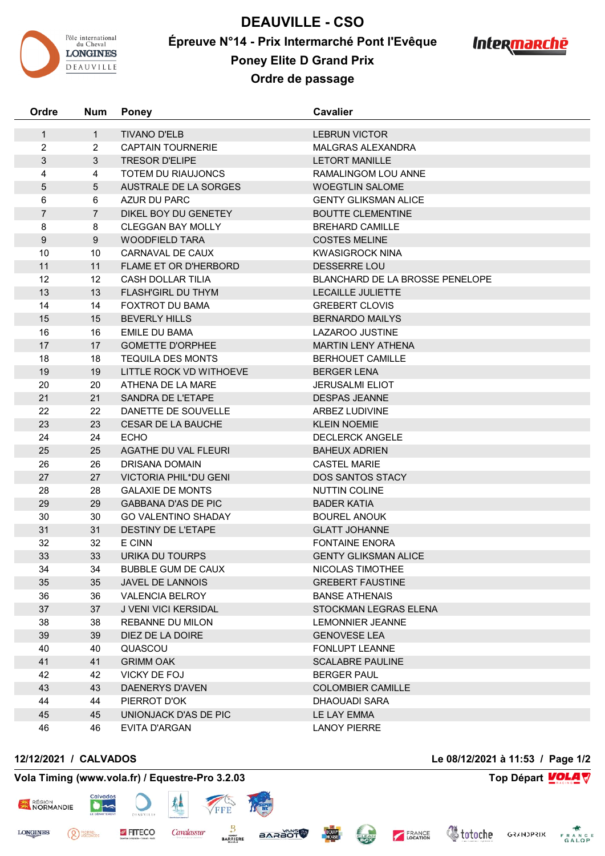

**DEAUVILLE - CSO Épreuve N°14 - Prix Intermarché Pont l'Evêque Poney Elite D Grand Prix**



**Ordre de passage**

| Ordre                          | <b>Num</b>     | <b>Poney</b>                                     | Cavalier                                         |
|--------------------------------|----------------|--------------------------------------------------|--------------------------------------------------|
|                                | $\mathbf{1}$   |                                                  |                                                  |
| $\mathbf{1}$<br>$\overline{2}$ | $\overline{2}$ | <b>TIVANO D'ELB</b><br><b>CAPTAIN TOURNERIE</b>  | <b>LEBRUN VICTOR</b><br><b>MALGRAS ALEXANDRA</b> |
| $\mathfrak{S}$                 | 3              | <b>TRESOR D'ELIPE</b>                            | <b>LETORT MANILLE</b>                            |
| 4                              | 4              | TOTEM DU RIAUJONCS                               | RAMALINGOM LOU ANNE                              |
|                                |                | AUSTRALE DE LA SORGES                            | <b>WOEGTLIN SALOME</b>                           |
| 5                              | 5<br>6         | AZUR DU PARC                                     | <b>GENTY GLIKSMAN ALICE</b>                      |
| 6<br>$\overline{7}$            | $\overline{7}$ |                                                  | <b>BOUTTE CLEMENTINE</b>                         |
|                                |                | DIKEL BOY DU GENETEY<br><b>CLEGGAN BAY MOLLY</b> | <b>BREHARD CAMILLE</b>                           |
| 8<br>9                         | 8<br>9         | <b>WOODFIELD TARA</b>                            | <b>COSTES MELINE</b>                             |
| 10                             | 10             | CARNAVAL DE CAUX                                 | <b>KWASIGROCK NINA</b>                           |
| 11                             | 11             | <b>FLAME ET OR D'HERBORD</b>                     | DESSERRE LOU                                     |
| 12                             | 12             | <b>CASH DOLLAR TILIA</b>                         | <b>BLANCHARD DE LA BROSSE PENELOPE</b>           |
| 13                             | 13             | <b>FLASH'GIRL DU THYM</b>                        | LECAILLE JULIETTE                                |
| 14                             | 14             | FOXTROT DU BAMA                                  | <b>GREBERT CLOVIS</b>                            |
| 15                             | 15             | <b>BEVERLY HILLS</b>                             | <b>BERNARDO MAILYS</b>                           |
| 16                             | 16             | <b>EMILE DU BAMA</b>                             | LAZAROO JUSTINE                                  |
| 17                             | 17             | <b>GOMETTE D'ORPHEE</b>                          | <b>MARTIN LENY ATHENA</b>                        |
| 18                             | 18             | <b>TEQUILA DES MONTS</b>                         | <b>BERHOUET CAMILLE</b>                          |
| 19                             | 19             | LITTLE ROCK VD WITHOEVE                          | <b>BERGER LENA</b>                               |
| 20                             | 20             | ATHENA DE LA MARE                                | <b>JERUSALMI ELIOT</b>                           |
| 21                             | 21             | SANDRA DE L'ETAPE                                | <b>DESPAS JEANNE</b>                             |
| 22                             | 22             | DANETTE DE SOUVELLE                              | ARBEZ LUDIVINE                                   |
| 23                             | 23             | <b>CESAR DE LA BAUCHE</b>                        | <b>KLEIN NOEMIE</b>                              |
| 24                             | 24             | <b>ECHO</b>                                      | <b>DECLERCK ANGELE</b>                           |
| 25                             | 25             | AGATHE DU VAL FLEURI                             | <b>BAHEUX ADRIEN</b>                             |
| 26                             | 26             | DRISANA DOMAIN                                   | <b>CASTEL MARIE</b>                              |
| 27                             | 27             | <b>VICTORIA PHIL*DU GENI</b>                     | DOS SANTOS STACY                                 |
| 28                             | 28             | <b>GALAXIE DE MONTS</b>                          | <b>NUTTIN COLINE</b>                             |
| 29                             | 29             | <b>GABBANA D'AS DE PIC</b>                       | <b>BADER KATIA</b>                               |
| 30                             | 30             | <b>GO VALENTINO SHADAY</b>                       | <b>BOUREL ANOUK</b>                              |
| 31                             | 31             | <b>DESTINY DE L'ETAPE</b>                        | <b>GLATT JOHANNE</b>                             |
| 32                             | 32             | E CINN                                           | <b>FONTAINE ENORA</b>                            |
| 33                             | 33             | URIKA DU TOURPS                                  | <b>GENTY GLIKSMAN ALICE</b>                      |
| 34                             | 34             | <b>BUBBLE GUM DE CAUX</b>                        | NICOLAS TIMOTHEE                                 |
| 35                             | 35             | JAVEL DE LANNOIS                                 | <b>GREBERT FAUSTINE</b>                          |
| 36                             | 36             | VALENCIA BELROY                                  | <b>BANSE ATHENAIS</b>                            |
| 37                             | 37             | J VENI VICI KERSIDAL                             | STOCKMAN LEGRAS ELENA                            |
| 38                             | 38             | <b>REBANNE DU MILON</b>                          | <b>LEMONNIER JEANNE</b>                          |
| 39                             | 39             | DIEZ DE LA DOIRE                                 | <b>GENOVESE LEA</b>                              |
| 40                             | 40             | QUASCOU                                          | <b>FONLUPT LEANNE</b>                            |
| 41                             | 41             | <b>GRIMM OAK</b>                                 | <b>SCALABRE PAULINE</b>                          |
| 42                             | 42             | VICKY DE FOJ                                     | <b>BERGER PAUL</b>                               |
| 43                             | 43             | DAENERYS D'AVEN                                  | <b>COLOMBIER CAMILLE</b>                         |
| 44                             | 44             | PIERROT D'OK                                     | DHAOUADI SARA                                    |
| 45                             | 45             | UNIONJACK D'AS DE PIC                            | LE LAY EMMA                                      |
| 46                             | 46             | EVITA D'ARGAN                                    | <b>LANOY PIERRE</b>                              |

## **12/12/2021 / CALVADOS Le 08/12/2021 à 11:53 / Page 1/2**

<sup>PIERRE</sup>

## **Vola Timing (www.vola.fr) / Equestre-Pro 3.2.03 Top Départ VOLA**

FITECO

 $\bullet$ 

丛

Cavalassur

FFE

₿

**BARRIERE** 

**BARAOT** 

CLEAN

RÉGION<br>NORMANDIE

**LONGINES** 



FRANCE